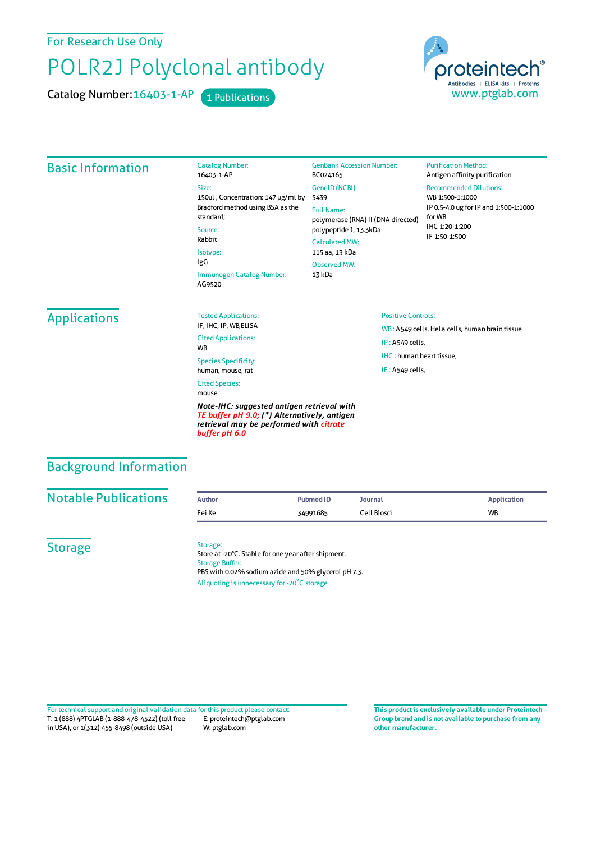For Research Use Only

# POLR2J Polyclonal antibody

Catalog Number: 16403-1-AP 1 Publications



## Basic Information

Catalog Number: 16403-1-AP Size: 150ul , Concentration: 147 μg/ml by 5439 Bradford method using BSA asthe standard; Source: Rabbit Isotype: IgG Immunogen Catalog Number: AG9520

GenBank Accession Number: BC024165 GeneID(NCBI): Full Name: polymerase (RNA) II (DNA directed) polypeptide J, 13.3kDa CalculatedMW: 115 aa, 13 kDa ObservedMW: 13 kDa

#### **Purification Method:** Antigen affinity purification

Recommended Dilutions:

WB 1:500-1:1000 IP 0.5-4.0 ug forIP and 1:500-1:1000 forWB IHC 1:20-1:200 IF 1:50-1:500

# **Applications**

Tested Applications: IF, IHC, IP, WB,ELISA Cited Applications: **W<sub>R</sub>** 

Species Specificity: human, mouse, rat Cited Species: mouse

*Note-IHC: suggested antigen retrieval with TE buffer pH 9.0; (\*) Alternatively, antigen retrieval may be performed with citrate buffer pH 6.0*

## Positive Controls:

WB : A549 cells, HeLa cells, human brain tissue IP : A549 cells, IHC : human heart tissue, IF : A549 cells,

## Background Information

| <b>Notable Publications</b> | <b>Author</b> | <b>Pubmed ID</b> | Journal     | <b>Application</b> |
|-----------------------------|---------------|------------------|-------------|--------------------|
|                             | Fei Ke        | 34991685         | Cell Biosci | <b>WB</b>          |

**Storage** 

### Storage:

Store at -20°C. Stable for one year after shipment. Storage Buffer: PBS with 0.02% sodium azide and 50% glycerol pH 7.3. Aliquoting is unnecessary for -20<sup>°</sup>C storage

T: 1 (888) 4PTGLAB (1-888-478-4522) (toll free in USA), or 1(312) 455-8498 (outside USA) E: proteintech@ptglab.com W: ptglab.com Fortechnical support and original validation data forthis product please contact: **This productis exclusively available under Proteintech**

**Group brand and is not available to purchase from any other manufacturer.**